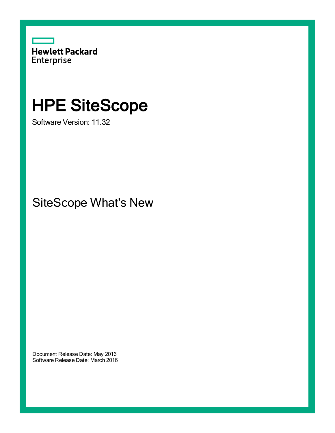

# HPE SiteScope

Software Version: 11.32

SiteScope What's New

Document Release Date: May 2016 Software Release Date: March 2016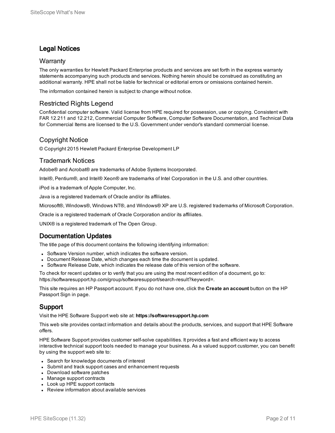## Legal Notices

#### **Warranty**

The only warranties for Hewlett Packard Enterprise products and services are set forth in the express warranty statements accompanying such products and services. Nothing herein should be construed as constituting an additional warranty. HPE shall not be liable for technical or editorial errors or omissions contained herein.

The information contained herein is subject to change without notice.

### Restricted Rights Legend

Confidential computer software. Valid license from HPE required for possession, use or copying. Consistent with FAR 12.211 and 12.212, Commercial Computer Software, Computer Software Documentation, and Technical Data for Commercial Items are licensed to the U.S. Government under vendor's standard commercial license.

### Copyright Notice

© Copyright 2015 Hewlett Packard Enterprise Development LP

#### Trademark Notices

Adobe® and Acrobat® are trademarks of Adobe Systems Incorporated.

Intel®, Pentium®, and Intel® Xeon® are trademarks of Intel Corporation in the U.S. and other countries.

iPod is a trademark of Apple Computer, Inc.

Java is a registered trademark of Oracle and/or its affiliates.

Microsoft®, Windows®, Windows NT®, and Windows® XP are U.S. registered trademarks of Microsoft Corporation.

Oracle is a registered trademark of Oracle Corporation and/or its affiliates.

UNIX® is a registered trademark of The Open Group.

### Documentation Updates

The title page of this document contains the following identifying information:

- Software Version number, which indicates the software version.
- Document Release Date, which changes each time the document is updated.
- Software Release Date, which indicates the release date of this version of the software.

To check for recent updates or to verify that you are using the most recent edition of a document, go to: https://softwaresupport.hp.com/group/softwaresupport/search-result?keyword=.

This site requires an HP Passport account. If you do not have one, click the **Create an account** button on the HP Passport Sign in page.

### Support

Visit the HPE Software Support web site at: **https://softwaresupport.hp.com**

This web site provides contact information and details about the products, services, and support that HPE Software offers.

HPE Software Support provides customer self-solve capabilities. It provides a fast and efficient way to access interactive technical support tools needed to manage your business. As a valued support customer, you can benefit by using the support web site to:

- Search for knowledge documents of interest
- Submit and track support cases and enhancement requests
- Download software patches
- Manage support contracts
- Look up HPE support contacts
- Review information about available services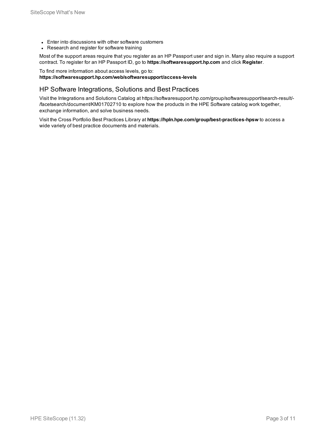- Enter into discussions with other software customers
- Research and register for software training

Most of the support areas require that you register as an HP Passport user and sign in. Many also require a support contract. To register for an HP Passport ID, go to **https://softwaresupport.hp.com** and click **Register**.

#### To find more information about access levels, go to: **https://softwaresupport.hp.com/web/softwaresupport/access-levels**

#### HP Software Integrations, Solutions and Best Practices

Visit the Integrations and Solutions Catalog at https://softwaresupport.hp.com/group/softwaresupport/search-result/- /facetsearch/document/KM01702710 to explore how the products in the HPE Software catalog work together, exchange information, and solve business needs.

Visit the Cross Portfolio Best Practices Library at **https://hpln.hpe.com/group/best-practices-hpsw** to access a wide variety of best practice documents and materials.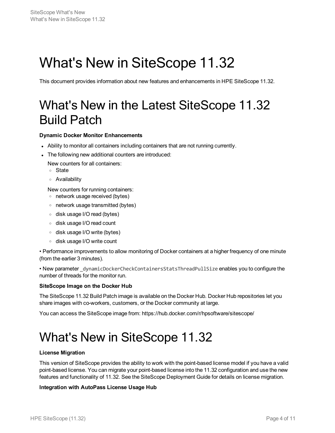# What's New in SiteScope 11.32

This document provides information about new features and enhancements in HPE SiteScope 11.32.

## What's New in the Latest SiteScope 11.32 Build Patch

#### **Dynamic Docker Monitor Enhancements**

- Ability to monitor all containers including containers that are not running currently.
- The following new additional counters are introduced:

New counters for all containers:

- <sup>o</sup> State
- <sup>o</sup> Availability

New counters for running containers:

- <sup>o</sup> network usage received (bytes)
- <sup>o</sup> network usage transmitted (bytes)
- <sup>o</sup> disk usage I/O read (bytes)
- <sup>o</sup> disk usage I/O read count
- <sup>o</sup> disk usage I/O write (bytes)
- <sup>o</sup> disk usage I/O write count

• Performance improvements to allow monitoring of Docker containers at a higher frequency of one minute (from the earlier 3 minutes).

• New parameter dynamicDockerCheckContainersStatsThreadPullSize enables you to configure the number of threads for the monitor run.

#### **SiteScope Image on the Docker Hub**

The SiteScope 11.32 Build Patch image is available on the Docker Hub. Docker Hub repositories let you share images with co-workers, customers, or the Docker community at large.

You can access the SiteScope image from: https://hub.docker.com/r/hpsoftware/sitescope/

## What's New in SiteScope 11.32

#### **License Migration**

This version of SiteScope provides the ability to work with the point-based license model if you have a valid point-based license. You can migrate your point-based license into the 11.32 configuration and use the new features and functionality of 11.32. See the SiteScope Deployment Guide for details on license migration.

#### **Integration with AutoPass License Usage Hub**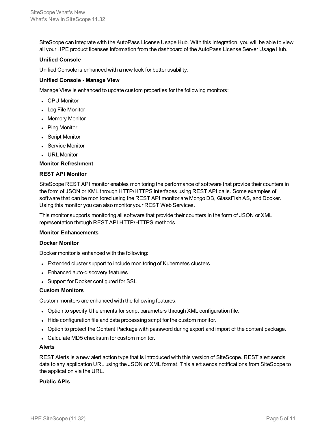SiteScope can integrate with the AutoPass License Usage Hub. With this integration, you will be able to view all your HPE product licenses information from the dashboard of the AutoPass License Server Usage Hub.

#### **Unified Console**

Unified Console is enhanced with a new look for better usability.

#### **Unified Console - Manage View**

Manage View is enhanced to update custom properties for the following monitors:

- CPU Monitor
- Log File Monitor
- Memory Monitor
- Ping Monitor
- Script Monitor
- Service Monitor
- URL Monitor

#### **Monitor Refreshment**

#### **REST API Monitor**

SiteScope REST API monitor enables monitoring the performance of software that provide their counters in the form of JSON or XML through HTTP/HTTPS interfaces using REST API calls. Some examples of software that can be monitored using the REST API monitor are Mongo DB, GlassFish AS, and Docker. Using this monitor you can also monitor your REST Web Services.

This monitor supports monitoring all software that provide their counters in the form of JSON or XML representation through REST API HTTP/HTTPS methods.

#### **Monitor Enhancements**

#### **Docker Monitor**

Docker monitor is enhanced with the following:

- Extended cluster support to include monitoring of Kubernetes clusters
- Enhanced auto-discovery features
- Support for Docker configured for SSL

#### **Custom Monitors**

Custom monitors are enhanced with the following features:

- Option to specify UI elements for script parameters through XML configuration file.
- Hide configuration file and data processing script for the custom monitor.
- Option to protect the Content Package with password during export and import of the content package.
- Calculate MD5 checksum for custom monitor.

#### **Alerts**

REST Alerts is a new alert action type that is introduced with this version of SiteScope. REST alert sends data to any application URL using the JSON or XML format. This alert sends notifications from SiteScope to the application via the URL.

#### **Public APIs**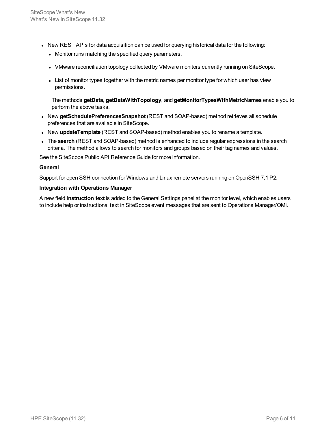- New REST APIs for data acquisition can be used for querying historical data for the following:
	- Monitor runs matching the specified query parameters.
	- VMware reconciliation topology collected by VMware monitors currently running on SiteScope.
	- List of monitor types together with the metric names per monitor type for which user has view permissions.

The methods **getData**, **getDataWithTopology**, and **getMonitorTypesWithMetricNames** enable you to perform the above tasks.

- **New getSchedulePreferencesSnapshot** (REST and SOAP-based) method retrieves all schedule preferences that are available in SiteScope.
- <sup>l</sup> New **updateTemplate** (REST and SOAP-based) method enables you to rename a template.
- <sup>l</sup> The **search** (REST and SOAP-based) method is enhanced to include regular expressions in the search criteria. The method allows to search for monitors and groups based on their tag names and values.

See the SiteScope Public API Reference Guide for more information.

#### **General**

Support for open SSH connection for Windows and Linux remote servers running on OpenSSH 7.1 P2.

#### **Integration with Operations Manager**

A new field **Instruction text** is added to the General Settings panel at the monitor level, which enables users to include help or instructional text in SiteScope event messages that are sent to Operations Manager/OMi.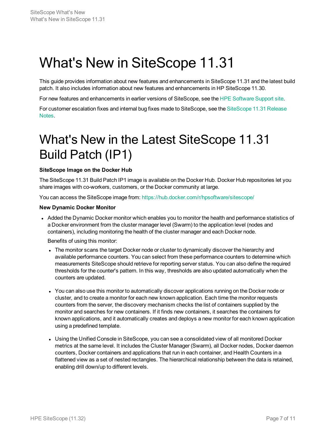# What's New in SiteScope 11.31

This guide provides information about new features and enhancements in SiteScope 11.31 and the latest build patch. It also includes information about new features and enhancements in HP SiteScope 11.30.

For new features and enhancements in earlier versions of SiteScope, see the HPE [Software](https://softwaresupport.hp.com/) Support site.

For customer escalation fixes and internal bug fixes made to [SiteScope](https://softwaresupport.hp.com/group/softwaresupport/search-result/-/facetsearch/document/KM01460799), see the SiteScope 11.31 Release [Notes](https://softwaresupport.hp.com/group/softwaresupport/search-result/-/facetsearch/document/KM01460799).

# What's New in the Latest SiteScope 11.31 Build Patch (IP1)

#### **SiteScope Image on the Docker Hub**

The SiteScope 11.31 Build Patch IP1 image is available on the Docker Hub. Docker Hub repositories let you share images with co-workers, customers, or the Docker community at large.

You can access the SiteScope image from: <https://hub.docker.com/r/hpsoftware/sitescope/>

#### **New Dynamic Docker Monitor**

• Added the Dynamic Docker monitor which enables you to monitor the health and performance statistics of a Docker environment from the cluster manager level (Swarm) to the application level (nodes and containers), including monitoring the health of the cluster manager and each Docker node.

Benefits of using this monitor:

- The monitor scans the target Docker node or cluster to dynamically discover the hierarchy and available performance counters. You can select from these performance counters to determine which measurements SiteScope should retrieve for reporting server status. You can also define the required thresholds for the counter's pattern. In this way, thresholds are also updated automatically when the counters are updated.
- You can also use this monitor to automatically discover applications running on the Docker node or cluster, and to create a monitor for each new known application. Each time the monitor requests counters from the server, the discovery mechanism checks the list of containers supplied by the monitor and searches for new containers. If it finds new containers, it searches the containers for known applications, and it automatically creates and deploys a new monitor for each known application using a predefined template.
- Using the Unified Console in SiteScope, you can see a consolidated view of all monitored Docker metrics at the same level. It includes the Cluster Manager (Swarm), all Docker nodes, Docker daemon counters, Docker containers and applications that run in each container, and Health Counters in a flattened view as a set of nested rectangles. The hierarchical relationship between the data is retained, enabling drill down/up to different levels.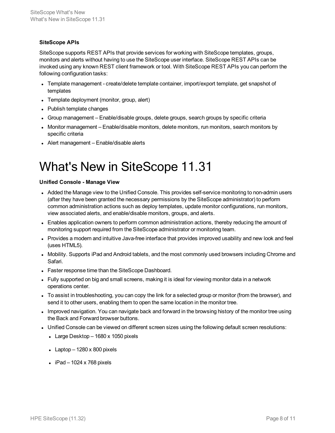#### **SiteScope APIs**

SiteScope supports REST APIs that provide services for working with SiteScope templates, groups, monitors and alerts without having to use the SiteScope user interface. SiteScope REST APIs can be invoked using any known REST client framework or tool. With SiteScope REST APIs you can perform the following configuration tasks:

- Template management create/delete template container, import/export template, get snapshot of templates
- Template deployment (monitor, group, alert)
- Publish template changes
- Group management Enable/disable groups, delete groups, search groups by specific criteria
- Monitor management Enable/disable monitors, delete monitors, run monitors, search monitors by specific criteria
- Alert management Enable/disable alerts

## What's New in SiteScope 11.31

#### **Unified Console - Manage View**

- Added the Manage view to the Unified Console. This provides self-service monitoring to non-admin users (after they have been granted the necessary permissions by the SiteScope administrator) to perform common administration actions such as deploy templates, update monitor configurations, run monitors, view associated alerts, and enable/disable monitors, groups, and alerts.
- Enables application owners to perform common administration actions, thereby reducing the amount of monitoring support required from the SiteScope administrator or monitoring team.
- Provides a modern and intuitive Java-free interface that provides improved usability and new look and feel (uses HTML5).
- Mobility. Supports iPad and Android tablets, and the most commonly used browsers including Chrome and Safari.
- Faster response time than the SiteScope Dashboard.
- Fully supported on big and small screens, making it is ideal for viewing monitor data in a network operations center.
- To assist in troubleshooting, you can copy the link for a selected group or monitor (from the browser), and send it to other users, enabling them to open the same location in the monitor tree.
- Improved navigation. You can navigate back and forward in the browsing history of the monitor tree using the Back and Forward browser buttons.
- Unified Console can be viewed on different screen sizes using the following default screen resolutions:
	- Large Desktop  $-$  1680 x 1050 pixels
	- Laptop  $-1280 \times 800$  pixels
	- $\bullet$  iPad 1024 x 768 pixels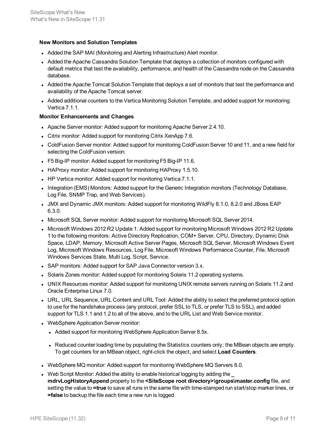#### **New Monitors and Solution Templates**

- Added the SAP MAI (Monitoring and Alerting Infrastructure) Alert monitor.
- Added the Apache Cassandra Solution Template that deploys a collection of monitors configured with default metrics that test the availability, performance, and health of the Cassandra node on the Cassandra database.
- Added the Apache Tomcat Solution Template that deploys a set of monitors that test the performance and availability of the Apache Tomcat server.
- Added additional counters to the Vertica Monitoring Solution Template, and added support for monitoring Vertica 7.1.1.

#### **Monitor Enhancements and Changes**

- Apache Server monitor: Added support for monitoring Apache Server 2.4.10.
- Citrix monitor: Added support for monitoring Citrix XenApp 7.6.
- ColdFusion Server monitor: Added support for monitoring ColdFusion Server 10 and 11, and a new field for selecting the ColdFusion version.
- F5 Big-IP monitor: Added support for monitoring F5 Big-IP 11.6.
- HAProxy monitor: Added support for monitoring HAProxy 1.5.10.
- HP Vertica monitor: Added support for monitoring Vertica 7.1.1.
- Integration (EMS) Monitors: Added support for the Generic Integration monitors (Technology Database, Log File, SNMP Trap, and Web Services).
- JMX and Dynamic JMX monitors: Added support for monitoring WildFly 8.1.0, 8.2.0 and JBoss EAP 6.3.0.
- Microsoft SQL Server monitor: Added support for monitoring Microsoft SQL Server 2014.
- Microsoft Windows 2012 R2 Update 1: Added support for monitoring Microsoft Windows 2012 R2 Update 1 to the following monitors: Active Directory Replication, COM+ Server, CPU, Directory, Dynamic Disk Space, LDAP, Memory, Microsoft Active Server Pages, Microsoft SQL Server, Microsoft Windows Event Log, Microsoft Windows Resources, Log File, Microsoft Windows Performance Counter, File, Microsoft Windows Services State, Multi Log, Script, Service.
- SAP monitors: Added support for SAP Java Connector version 3.x.
- Solaris Zones monitor: Added support for monitoring Solaris 11.2 operating systems.
- UNIX Resources monitor: Added support for monitoring UNIX remote servers running on Solaris 11.2 and Oracle Enterprise Linux 7.0.
- URL, URL Sequence, URL Content and URL Tool: Added the ability to select the preferred protocol option to use for the handshake process (any protocol, prefer SSL to TLS, or prefer TLS to SSL), and added support for TLS 1.1 and 1.2 to all of the above, and to the URL List and Web Service monitor.
- WebSphere Application Server monitor:
	- Added support for monitoring WebSphere Application Server 8.5x.
	- Reduced counter loading time by populating the Statistics counters only; the MBean objects are empty. To get counters for an MBean object, right-click the object, and select **Load Counters**.
- WebSphere MQ monitor: Added support for monitoring WebSphere MQ Servers 8.0.
- **.** Web Script Monitor: Added the ability to enable historical logging by adding the \_ **mdrvLogHistoryAppend** property to the **<SiteScope root directory>\groups\master.config** file, and setting the value to **=true** to save all runs in the same file with time-stamped run start/stop marker lines, or **=false** to backup the file each time a new run is logged.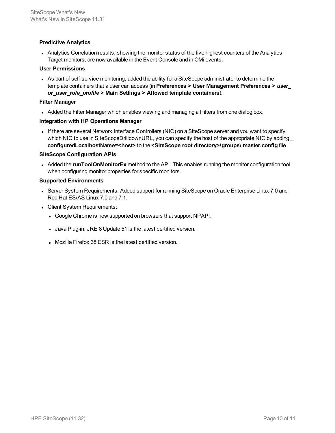#### **Predictive Analytics**

• Analytics Correlation results, showing the monitor status of the five highest counters of the Analytics Target monitors, are now available in the Event Console and in OMi events.

#### **User Permissions**

• As part of self-service monitoring, added the ability for a SiteScope administrator to determine the template containers that a user can access (in **Preferences > User Management Preferences >** *user\_ or\_user\_role\_profile* **> Main Settings > Allowed template containers**).

#### **Filter Manager**

• Added the Filter Manager which enables viewing and managing all filters from one dialog box.

#### **Integration with HP Operations Manager**

If there are several Network Interface Controllers (NIC) on a SiteScope server and you want to specify which NIC to use in SiteScopeDrilldownURL, you can specify the host of the appropriate NIC by adding **\_ configuredLocalhostName=<host>** to the **<SiteScope root directory>\groups\ master.config** file.

#### **SiteScope Configuration APIs**

• Added the **runToolOnMonitorEx** method to the API. This enables running the monitor configuration tool when configuring monitor properties for specific monitors.

#### **Supported Environments**

- Server System Requirements: Added support for running SiteScope on Oracle Enterprise Linux 7.0 and Red Hat ES/AS Linux 7.0 and 7.1.
- Client System Requirements:
	- Google Chrome is now supported on browsers that support NPAPI.
	- Java Plug-in: JRE 8 Update 51 is the latest certified version.
	- Mozilla Firefox 38 ESR is the latest certified version.